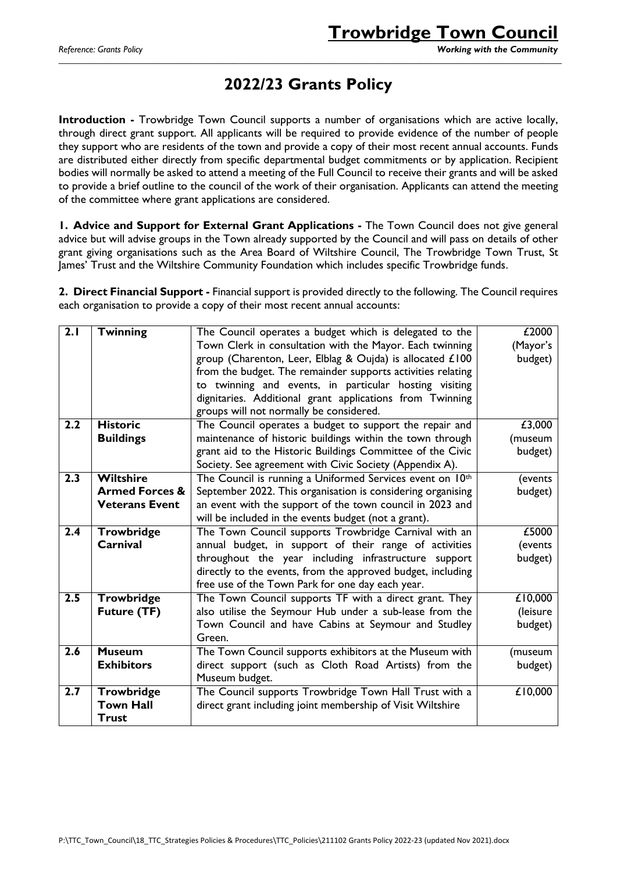### **2022/23 Grants Policy**

\_\_\_\_\_\_\_\_\_\_\_\_\_\_\_\_\_\_\_\_\_\_\_\_\_\_\_\_\_\_\_\_\_\_\_\_\_\_\_\_\_\_\_\_\_\_\_\_\_\_\_\_\_\_\_\_\_\_\_\_\_\_\_\_\_\_\_\_\_\_\_\_\_\_\_\_\_\_\_\_\_\_\_\_\_\_\_\_\_\_\_\_\_\_\_\_\_\_\_\_\_\_\_\_\_\_\_\_\_\_

**Introduction -** Trowbridge Town Council supports a number of organisations which are active locally, through direct grant support. All applicants will be required to provide evidence of the number of people they support who are residents of the town and provide a copy of their most recent annual accounts. Funds are distributed either directly from specific departmental budget commitments or by application. Recipient bodies will normally be asked to attend a meeting of the Full Council to receive their grants and will be asked to provide a brief outline to the council of the work of their organisation. Applicants can attend the meeting of the committee where grant applications are considered.

**1. Advice and Support for External Grant Applications -** The Town Council does not give general advice but will advise groups in the Town already supported by the Council and will pass on details of other grant giving organisations such as the Area Board of Wiltshire Council, The Trowbridge Town Trust, St James' Trust and the Wiltshire Community Foundation which includes specific Trowbridge funds.

**2. Direct Financial Support -** Financial support is provided directly to the following. The Council requires each organisation to provide a copy of their most recent annual accounts:

| 2.1 | <b>Twinning</b>           | The Council operates a budget which is delegated to the     | £2000    |
|-----|---------------------------|-------------------------------------------------------------|----------|
|     |                           | Town Clerk in consultation with the Mayor. Each twinning    | (Mayor's |
|     |                           | group (Charenton, Leer, Elblag & Oujda) is allocated £100   | budget)  |
|     |                           | from the budget. The remainder supports activities relating |          |
|     |                           | to twinning and events, in particular hosting visiting      |          |
|     |                           | dignitaries. Additional grant applications from Twinning    |          |
|     |                           | groups will not normally be considered.                     |          |
| 2.2 | <b>Historic</b>           | The Council operates a budget to support the repair and     | £3,000   |
|     | <b>Buildings</b>          | maintenance of historic buildings within the town through   | (museum  |
|     |                           | grant aid to the Historic Buildings Committee of the Civic  | budget)  |
|     |                           | Society. See agreement with Civic Society (Appendix A).     |          |
| 2.3 | <b>Wiltshire</b>          | The Council is running a Uniformed Services event on 10th   | (events  |
|     | <b>Armed Forces &amp;</b> | September 2022. This organisation is considering organising | budget)  |
|     | <b>Veterans Event</b>     | an event with the support of the town council in 2023 and   |          |
|     |                           | will be included in the events budget (not a grant).        |          |
| 2.4 | <b>Trowbridge</b>         | The Town Council supports Trowbridge Carnival with an       | £5000    |
|     | Carnival                  | annual budget, in support of their range of activities      | (events  |
|     |                           | throughout the year including infrastructure support        | budget)  |
|     |                           | directly to the events, from the approved budget, including |          |
|     |                           | free use of the Town Park for one day each year.            |          |
| 2.5 | <b>Trowbridge</b>         | The Town Council supports TF with a direct grant. They      | £10,000  |
|     | <b>Future (TF)</b>        | also utilise the Seymour Hub under a sub-lease from the     | (leisure |
|     |                           | Town Council and have Cabins at Seymour and Studley         | budget)  |
|     |                           | Green.                                                      |          |
| 2.6 | <b>Museum</b>             | The Town Council supports exhibitors at the Museum with     | (museum  |
|     | <b>Exhibitors</b>         | direct support (such as Cloth Road Artists) from the        | budget)  |
|     |                           | Museum budget.                                              |          |
| 2.7 | <b>Trowbridge</b>         | The Council supports Trowbridge Town Hall Trust with a      | £10,000  |
|     | <b>Town Hall</b>          | direct grant including joint membership of Visit Wiltshire  |          |
|     | <b>Trust</b>              |                                                             |          |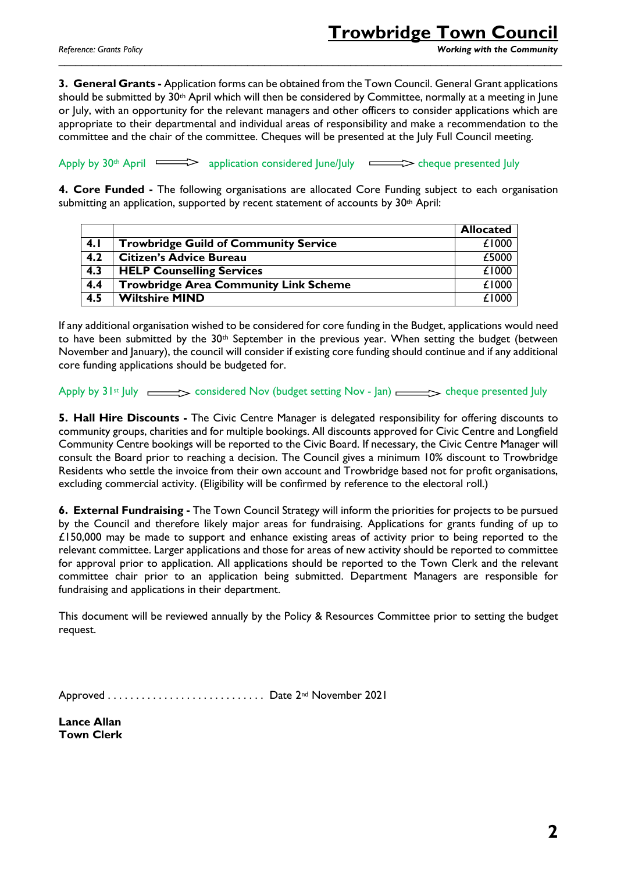## **Trowbridge Town Council**

*Reference: Grants Policy Working with the Community*

**3. General Grants -** Application forms can be obtained from the Town Council. General Grant applications should be submitted by 30<sup>th</sup> April which will then be considered by Committee, normally at a meeting in June or July, with an opportunity for the relevant managers and other officers to consider applications which are appropriate to their departmental and individual areas of responsibility and make a recommendation to the committee and the chair of the committee. Cheques will be presented at the July Full Council meeting.

\_\_\_\_\_\_\_\_\_\_\_\_\_\_\_\_\_\_\_\_\_\_\_\_\_\_\_\_\_\_\_\_\_\_\_\_\_\_\_\_\_\_\_\_\_\_\_\_\_\_\_\_\_\_\_\_\_\_\_\_\_\_\_\_\_\_\_\_\_\_\_\_\_\_\_\_\_\_\_\_\_\_\_\_\_\_\_\_

Apply by  $30<sup>th</sup>$  April  $\implies$  application considered June/July  $\implies$  cheque presented July

**4. Core Funded -** The following organisations are allocated Core Funding subject to each organisation submitting an application, supported by recent statement of accounts by 30th April:

|     |                                              | <b>Allocated</b> |
|-----|----------------------------------------------|------------------|
| 4.1 | <b>Trowbridge Guild of Community Service</b> | £1000            |
| 4.2 | <b>Citizen's Advice Bureau</b>               | £5000            |
| 4.3 | <b>HELP Counselling Services</b>             | £1000            |
| 4.4 | <b>Trowbridge Area Community Link Scheme</b> | £1000            |
| 4.5 | <b>Wiltshire MIND</b>                        | £1000            |

If any additional organisation wished to be considered for core funding in the Budget, applications would need to have been submitted by the 30<sup>th</sup> September in the previous year. When setting the budget (between November and January), the council will consider if existing core funding should continue and if any additional core funding applications should be budgeted for.

Apply by  $31st$  July  $\longrightarrow$  considered Nov (budget setting Nov - Jan)  $\longrightarrow$  cheque presented July

**5. Hall Hire Discounts -** The Civic Centre Manager is delegated responsibility for offering discounts to community groups, charities and for multiple bookings. All discounts approved for Civic Centre and Longfield Community Centre bookings will be reported to the Civic Board. If necessary, the Civic Centre Manager will consult the Board prior to reaching a decision. The Council gives a minimum 10% discount to Trowbridge Residents who settle the invoice from their own account and Trowbridge based not for profit organisations, excluding commercial activity. (Eligibility will be confirmed by reference to the electoral roll.)

**6. External Fundraising -** The Town Council Strategy will inform the priorities for projects to be pursued by the Council and therefore likely major areas for fundraising. Applications for grants funding of up to  $£150,000$  may be made to support and enhance existing areas of activity prior to being reported to the relevant committee. Larger applications and those for areas of new activity should be reported to committee for approval prior to application. All applications should be reported to the Town Clerk and the relevant committee chair prior to an application being submitted. Department Managers are responsible for fundraising and applications in their department.

This document will be reviewed annually by the Policy & Resources Committee prior to setting the budget request.

Approved . . . . . . . . . . . . . . . . . . . . . . . . . . . . Date 2nd November 2021

**Lance Allan Town Clerk**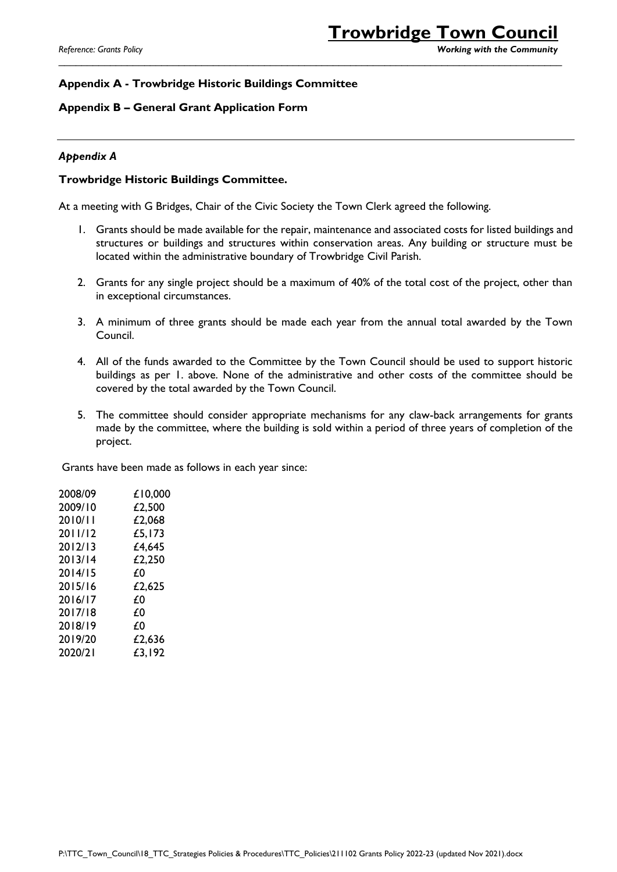*Reference: Grants Policy Working with the Community*

### **Appendix A - Trowbridge Historic Buildings Committee**

#### **Appendix B – General Grant Application Form**

#### *Appendix A*

#### **Trowbridge Historic Buildings Committee.**

At a meeting with G Bridges, Chair of the Civic Society the Town Clerk agreed the following.

1. Grants should be made available for the repair, maintenance and associated costs for listed buildings and structures or buildings and structures within conservation areas. Any building or structure must be located within the administrative boundary of Trowbridge Civil Parish.

\_\_\_\_\_\_\_\_\_\_\_\_\_\_\_\_\_\_\_\_\_\_\_\_\_\_\_\_\_\_\_\_\_\_\_\_\_\_\_\_\_\_\_\_\_\_\_\_\_\_\_\_\_\_\_\_\_\_\_\_\_\_\_\_\_\_\_\_\_\_\_\_\_\_\_\_\_\_\_\_\_\_\_\_\_\_\_\_

- 2. Grants for any single project should be a maximum of 40% of the total cost of the project, other than in exceptional circumstances.
- 3. A minimum of three grants should be made each year from the annual total awarded by the Town Council.
- 4. All of the funds awarded to the Committee by the Town Council should be used to support historic buildings as per 1. above. None of the administrative and other costs of the committee should be covered by the total awarded by the Town Council.
- 5. The committee should consider appropriate mechanisms for any claw-back arrangements for grants made by the committee, where the building is sold within a period of three years of completion of the project.

Grants have been made as follows in each year since:

| 2008/09 | £10,000 |
|---------|---------|
| 2009/10 | £2,500  |
| 2010/11 | £2,068  |
| 2011/12 | £5,173  |
| 2012/13 | £4,645  |
| 2013/14 | £2,250  |
| 2014/15 | £0      |
| 2015/16 | £2,625  |
| 2016/17 | £0      |
| 2017/18 | £0      |
| 2018/19 | £0      |
| 2019/20 | £2,636  |
| 2020/21 | £3,192  |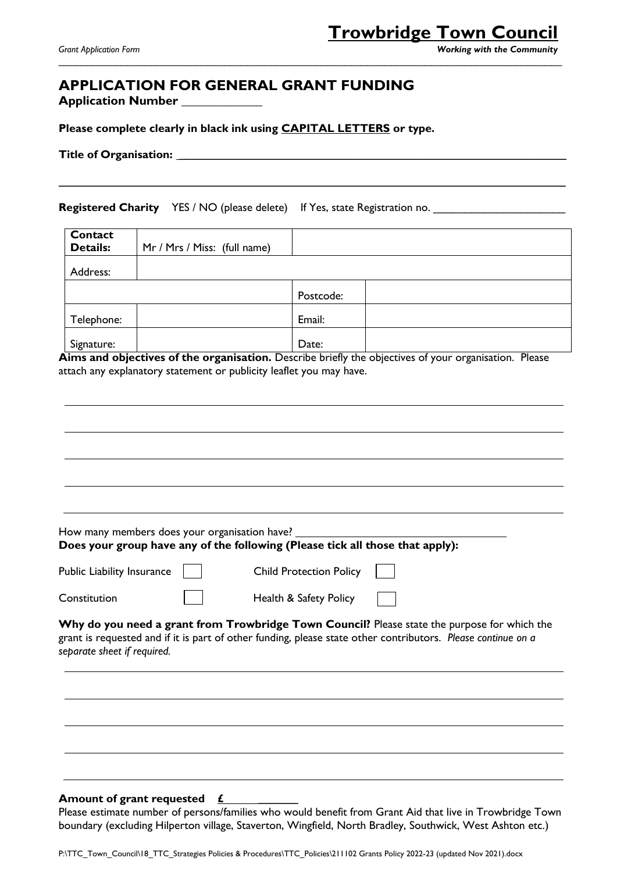#### *Grant Application Form Working with the Community*

### **APPLICATION FOR GENERAL GRANT FUNDING**

**Application Number \_\_\_\_\_\_\_\_\_\_\_\_\_**

**Please complete clearly in black ink using CAPITAL LETTERS or type.**

**Title of Organisation: \_\_\_\_\_\_\_\_\_\_\_\_\_\_\_\_\_\_\_\_\_\_\_\_\_\_\_\_\_\_\_\_\_\_\_\_\_\_\_\_\_\_\_\_\_\_\_\_\_\_\_\_\_\_\_\_\_\_\_\_\_\_\_\_\_\_\_\_**

**Registered Charity** YES / NO (please delete) If Yes, state Registration no.

| Contact<br><b>Details:</b> | Mr / Mrs / Miss: (full name) |           |  |
|----------------------------|------------------------------|-----------|--|
| Address:                   |                              |           |  |
|                            |                              | Postcode: |  |
| Telephone:                 |                              | Email:    |  |
| Signature:                 |                              | Date:     |  |

**\_\_\_\_\_\_\_\_\_\_\_\_\_\_\_\_\_\_\_\_\_\_\_\_\_\_\_\_\_\_\_\_\_\_\_\_\_\_\_\_\_\_\_\_\_\_\_\_\_\_\_\_\_\_\_\_\_\_\_\_\_\_\_\_\_\_\_\_\_\_\_\_\_\_\_\_\_\_\_\_\_\_\_\_\_\_\_\_\_**

\_\_\_\_\_\_\_\_\_\_\_\_\_\_\_\_\_\_\_\_\_\_\_\_\_\_\_\_\_\_\_\_\_\_\_\_\_\_\_\_\_\_\_\_\_\_\_\_\_\_\_\_\_\_\_\_\_\_\_\_\_\_\_\_\_\_\_\_\_\_\_\_\_\_\_\_\_\_\_\_\_\_\_\_\_\_\_\_

Aims and objectives of the organisation. Describe briefly the objectives of your organisation. Please attach any explanatory statement or publicity leaflet you may have.

| How many members does your organisation have? | Does your group have any of the following (Please tick all those that apply):                                                                                                                                |
|-----------------------------------------------|--------------------------------------------------------------------------------------------------------------------------------------------------------------------------------------------------------------|
| Public Liability Insurance                    | <b>Child Protection Policy</b>                                                                                                                                                                               |
| Constitution                                  | Health & Safety Policy                                                                                                                                                                                       |
| separate sheet if required.                   | Why do you need a grant from Trowbridge Town Council? Please state the purpose for which the<br>grant is requested and if it is part of other funding, please state other contributors. Please continue on a |
|                                               |                                                                                                                                                                                                              |
|                                               |                                                                                                                                                                                                              |
|                                               |                                                                                                                                                                                                              |
|                                               |                                                                                                                                                                                                              |
| Amount of grant requested £                   |                                                                                                                                                                                                              |

Please estimate number of persons/families who would benefit from Grant Aid that live in Trowbridge Town boundary (excluding Hilperton village, Staverton, Wingfield, North Bradley, Southwick, West Ashton etc.)